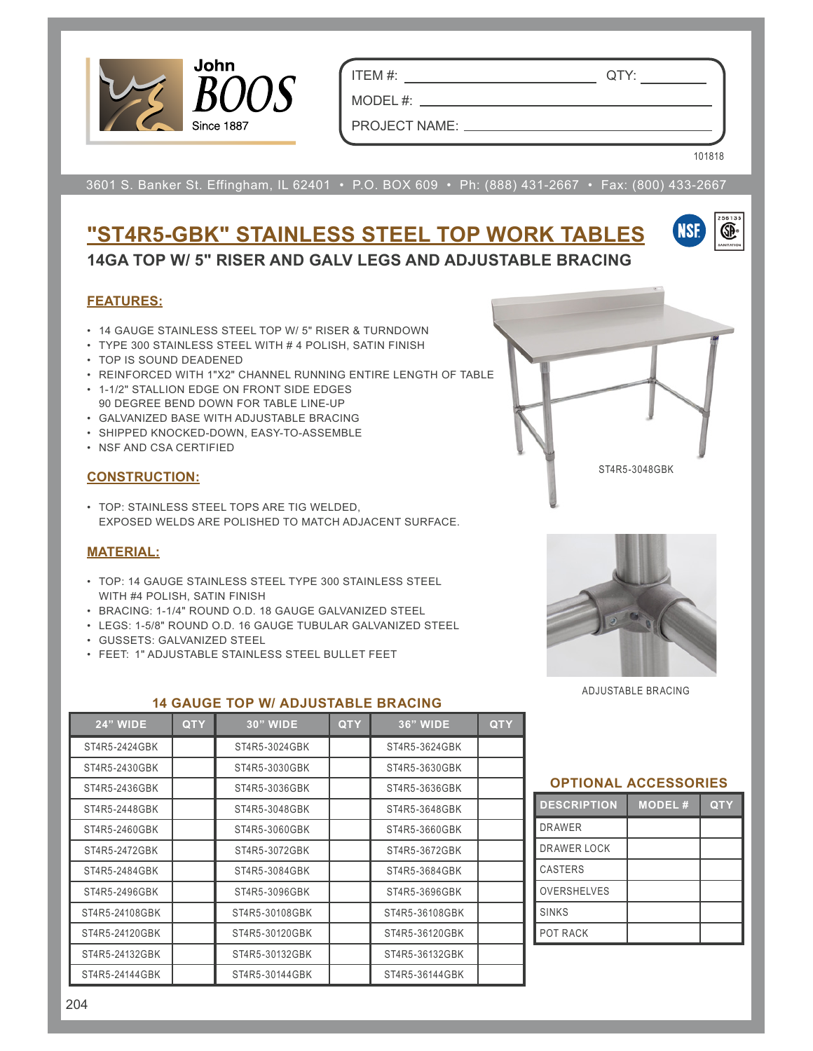

ITEM #: QTY:

MODEL#: \_\_

PROJECT NAME:

101818

(SP)

3601 S. Banker St. Effingham, IL 62401 • P.O. BOX 609 • Ph: (888) 431-2667 • Fax: (800) 433-2667

## **"ST4R5-GBK" STAINLESS STEEL TOP WORK TABLES 14GA TOP W/ 5" RISER AND GALV LEGS AND ADJUSTABLE BRACING**

#### **FEATURES:**

- 14 GAUGE STAINLESS STEEL TOP W/ 5" RISER & TURNDOWN
- TYPE 300 STAINLESS STEEL WITH # 4 POLISH, SATIN FINISH
- TOP IS SOUND DEADENED
- REINFORCED WITH 1"X2" CHANNEL RUNNING ENTIRE LENGTH OF TABLE
- 1-1/2" STALLION EDGE ON FRONT SIDE EDGES 90 DEGREE BEND DOWN FOR TABLE LINE-UP
- GALVANIZED BASE WITH ADJUSTABLE BRACING
- SHIPPED KNOCKED-DOWN, EASY-TO-ASSEMBLE
- NSF AND CSA CERTIFIED

### **CONSTRUCTION:**

• TOP: STAINLESS STEEL TOPS ARE TIG WELDED, EXPOSED WELDS ARE POLISHED TO MATCH ADJACENT SURFACE.

### **MATERIAL:**

- TOP: 14 GAUGE STAINLESS STEEL TYPE 300 STAINLESS STEEL WITH #4 POLISH, SATIN FINISH
- BRACING: 1-1/4" ROUND O.D. 18 GAUGE GALVANIZED STEEL
- LEGS: 1-5/8" ROUND O.D. 16 GAUGE TUBULAR GALVANIZED STEEL
- GUSSETS: GALVANIZED STEEL
- FEET: 1" ADJUSTABLE STAINLESS STEEL BULLET FEET



ST4R5-3048GBK

ADJUSTABLE BRACING

| <b>24" WIDE</b> | <b>QTY</b> | <b>30" WIDE</b> | <b>QTY</b> | <b>36" WIDE</b> | <b>QTY</b> |  |  |
|-----------------|------------|-----------------|------------|-----------------|------------|--|--|
| ST4R5-2424GBK   |            | ST4R5-3024GBK   |            | ST4R5-3624GBK   |            |  |  |
| ST4R5-2430GBK   |            | ST4R5-3030GBK   |            | ST4R5-3630GBK   |            |  |  |
| ST4R5-2436GBK   |            | ST4R5-3036GBK   |            | ST4R5-3636GBK   |            |  |  |
| ST4R5-2448GBK   |            | ST4R5-3048GBK   |            | ST4R5-3648GBK   |            |  |  |
| ST4R5-2460GBK   |            | ST4R5-3060GBK   |            | ST4R5-3660GBK   |            |  |  |
| ST4R5-2472GBK   |            | ST4R5-3072GBK   |            | ST4R5-3672GBK   |            |  |  |
| ST4R5-2484GBK   |            | ST4R5-3084GBK   |            | ST4R5-3684GBK   |            |  |  |
| ST4R5-2496GBK   |            | ST4R5-3096GBK   |            | ST4R5-3696GBK   |            |  |  |
| ST4R5-24108GBK  |            | ST4R5-30108GBK  |            | ST4R5-36108GBK  |            |  |  |
| ST4R5-24120GBK  |            | ST4R5-30120GBK  |            | ST4R5-36120GBK  |            |  |  |
| ST4R5-24132GBK  |            | ST4R5-30132GBK  |            | ST4R5-36132GBK  |            |  |  |
| ST4R5-24144GBK  |            | ST4R5-30144GBK  |            | ST4R5-36144GBK  |            |  |  |

**14 GAUGE TOP W/ ADJUSTABLE BRACING**

### **OPTIONAL ACCESSORIES**

| <b>DESCRIPTION</b> | <b>MODEL#</b> | <b>QTY</b> |
|--------------------|---------------|------------|
| <b>DRAWER</b>      |               |            |
| <b>DRAWER LOCK</b> |               |            |
| <b>CASTERS</b>     |               |            |
| <b>OVERSHELVES</b> |               |            |
| <b>SINKS</b>       |               |            |
| POT RACK           |               |            |